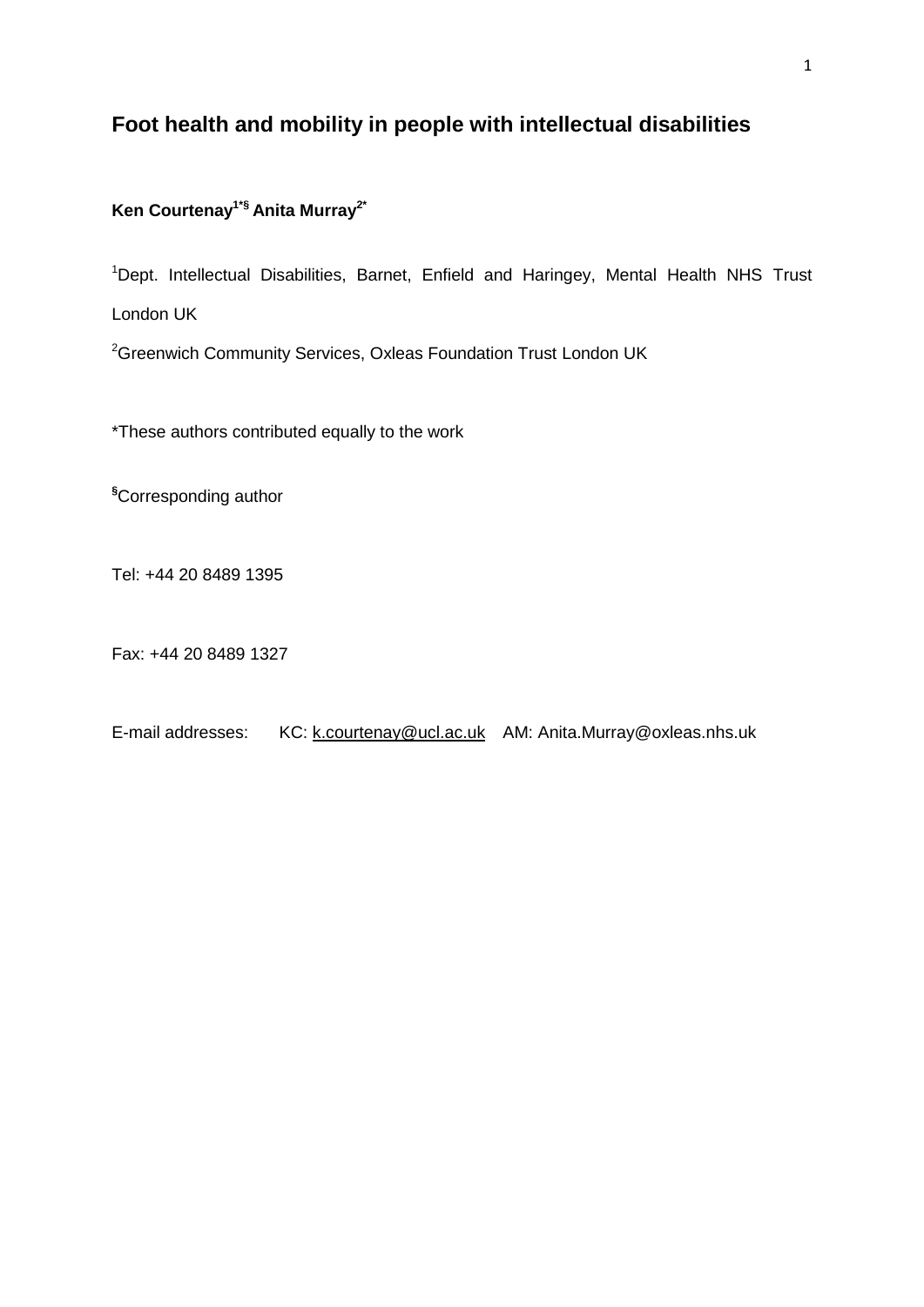# **Foot health and mobility in people with intellectual disabilities**

# **Ken Courtenay1\*§ Anita Murray2\***

<sup>1</sup>Dept. Intellectual Disabilities, Barnet, Enfield and Haringey, Mental Health NHS Trust London UK

<sup>2</sup>Greenwich Community Services, Oxleas Foundation Trust London UK

\*These authors contributed equally to the work

**§**Corresponding author

Tel: +44 20 8489 1395

Fax: +44 20 8489 1327

E-mail addresses: KC: [k.courtenay@ucl.ac.uk](mailto:k.courtenay@ucl.ac.uk) AM: Anita.Murray@oxleas.nhs.uk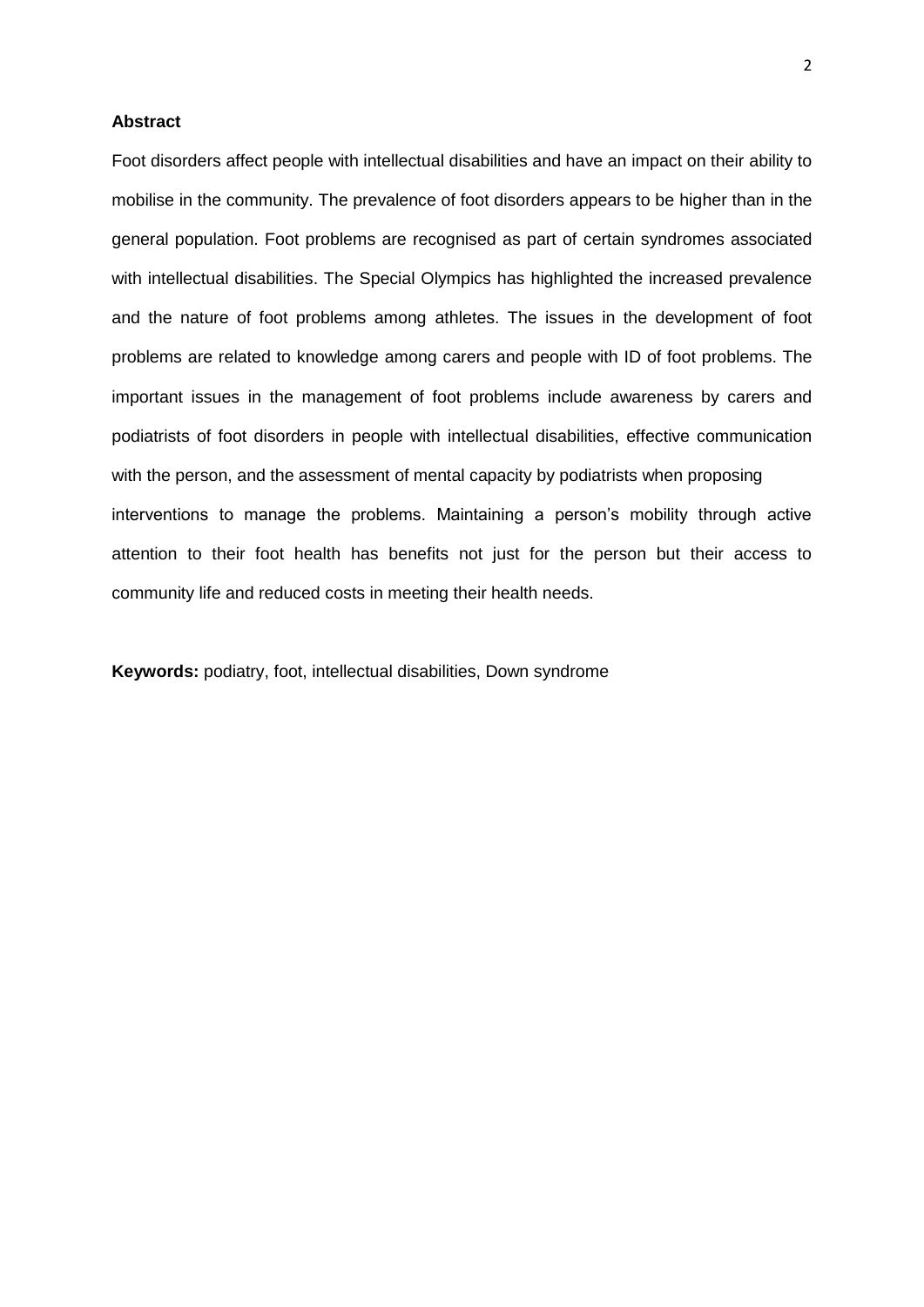### **Abstract**

Foot disorders affect people with intellectual disabilities and have an impact on their ability to mobilise in the community. The prevalence of foot disorders appears to be higher than in the general population. Foot problems are recognised as part of certain syndromes associated with intellectual disabilities. The Special Olympics has highlighted the increased prevalence and the nature of foot problems among athletes. The issues in the development of foot problems are related to knowledge among carers and people with ID of foot problems. The important issues in the management of foot problems include awareness by carers and podiatrists of foot disorders in people with intellectual disabilities, effective communication with the person, and the assessment of mental capacity by podiatrists when proposing interventions to manage the problems. Maintaining a person's mobility through active attention to their foot health has benefits not just for the person but their access to community life and reduced costs in meeting their health needs.

**Keywords:** podiatry, foot, intellectual disabilities, Down syndrome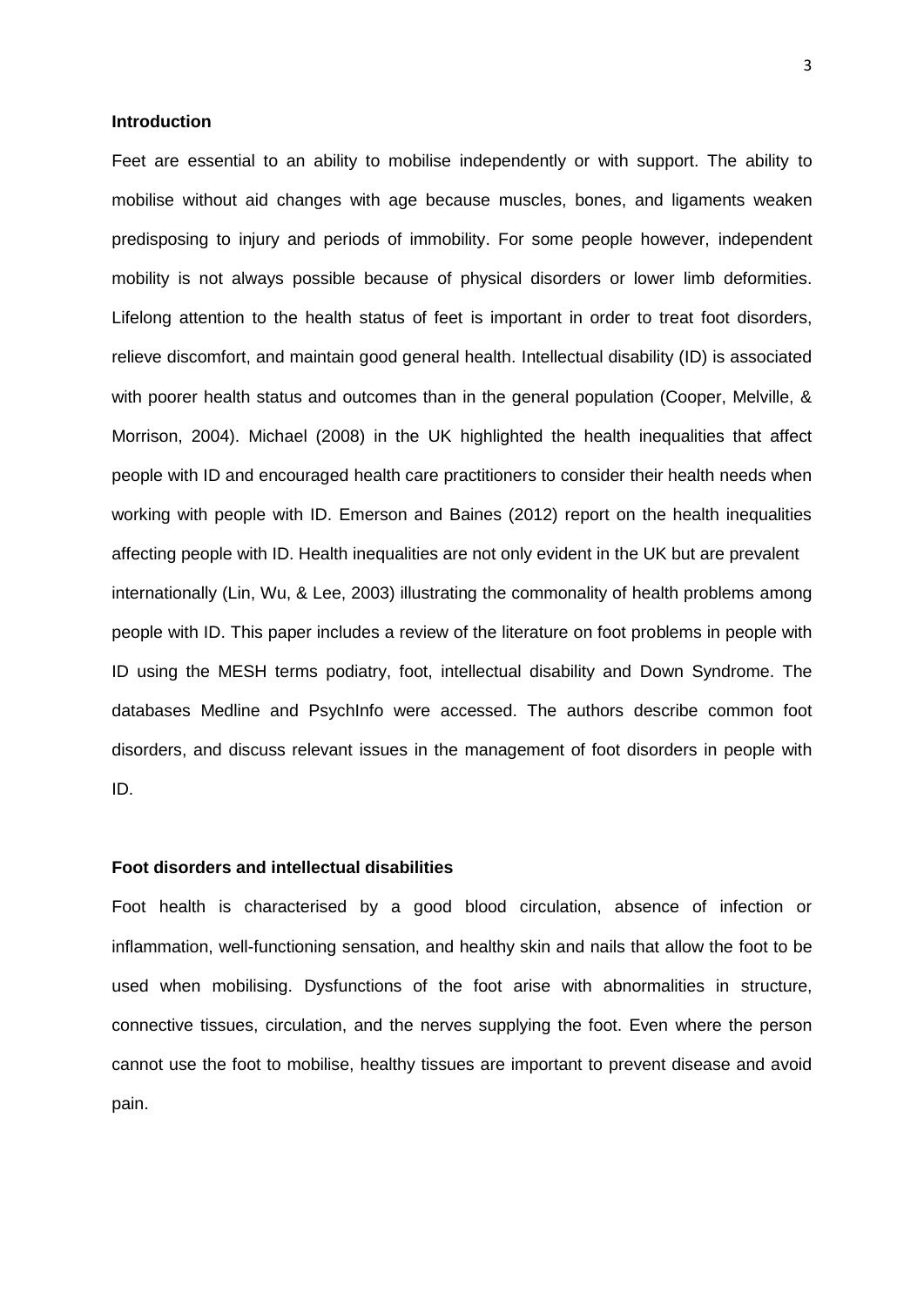#### **Introduction**

Feet are essential to an ability to mobilise independently or with support. The ability to mobilise without aid changes with age because muscles, bones, and ligaments weaken predisposing to injury and periods of immobility. For some people however, independent mobility is not always possible because of physical disorders or lower limb deformities. Lifelong attention to the health status of feet is important in order to treat foot disorders, relieve discomfort, and maintain good general health. Intellectual disability (ID) is associated with poorer health status and outcomes than in the general population (Cooper, Melville, & Morrison, 2004). Michael (2008) in the UK highlighted the health inequalities that affect people with ID and encouraged health care practitioners to consider their health needs when working with people with ID. Emerson and Baines (2012) report on the health inequalities affecting people with ID. Health inequalities are not only evident in the UK but are prevalent internationally (Lin, Wu, & Lee, 2003) illustrating the commonality of health problems among people with ID. This paper includes a review of the literature on foot problems in people with ID using the MESH terms podiatry, foot, intellectual disability and Down Syndrome. The databases Medline and PsychInfo were accessed. The authors describe common foot disorders, and discuss relevant issues in the management of foot disorders in people with ID.

# **Foot disorders and intellectual disabilities**

Foot health is characterised by a good blood circulation, absence of infection or inflammation, well-functioning sensation, and healthy skin and nails that allow the foot to be used when mobilising. Dysfunctions of the foot arise with abnormalities in structure, connective tissues, circulation, and the nerves supplying the foot. Even where the person cannot use the foot to mobilise, healthy tissues are important to prevent disease and avoid pain.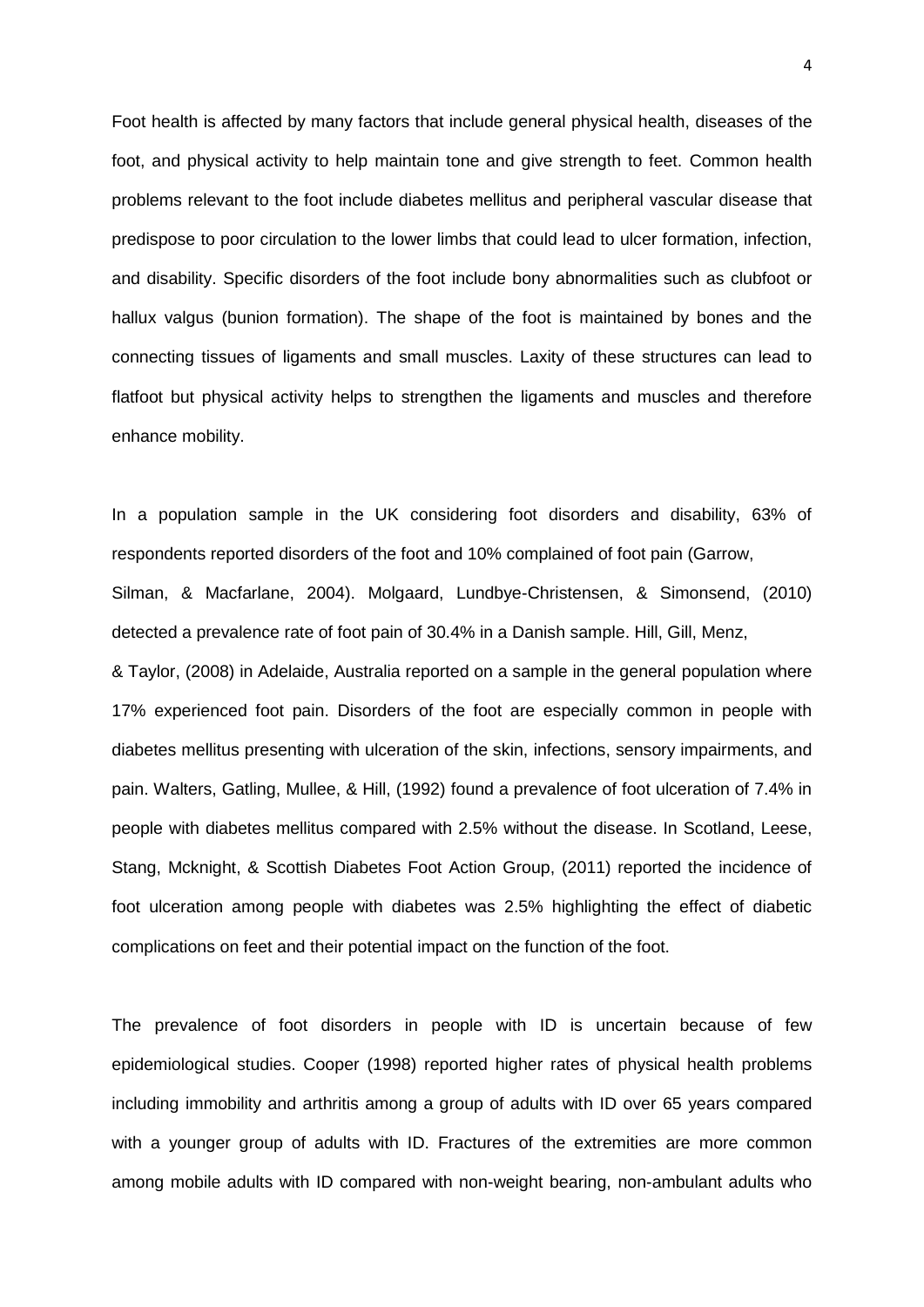Foot health is affected by many factors that include general physical health, diseases of the foot, and physical activity to help maintain tone and give strength to feet. Common health problems relevant to the foot include diabetes mellitus and peripheral vascular disease that predispose to poor circulation to the lower limbs that could lead to ulcer formation, infection, and disability. Specific disorders of the foot include bony abnormalities such as clubfoot or hallux valgus (bunion formation). The shape of the foot is maintained by bones and the connecting tissues of ligaments and small muscles. Laxity of these structures can lead to flatfoot but physical activity helps to strengthen the ligaments and muscles and therefore enhance mobility.

In a population sample in the UK considering foot disorders and disability, 63% of respondents reported disorders of the foot and 10% complained of foot pain (Garrow, Silman, & Macfarlane, 2004). Molgaard, Lundbye-Christensen, & Simonsend, (2010) detected a prevalence rate of foot pain of 30.4% in a Danish sample. Hill, Gill, Menz, & Taylor, (2008) in Adelaide, Australia reported on a sample in the general population where 17% experienced foot pain. Disorders of the foot are especially common in people with diabetes mellitus presenting with ulceration of the skin, infections, sensory impairments, and pain. Walters, Gatling, Mullee, & Hill, (1992) found a prevalence of foot ulceration of 7.4% in people with diabetes mellitus compared with 2.5% without the disease. In Scotland, Leese, Stang, Mcknight, & Scottish Diabetes Foot Action Group, (2011) reported the incidence of foot ulceration among people with diabetes was 2.5% highlighting the effect of diabetic complications on feet and their potential impact on the function of the foot.

The prevalence of foot disorders in people with ID is uncertain because of few epidemiological studies. Cooper (1998) reported higher rates of physical health problems including immobility and arthritis among a group of adults with ID over 65 years compared with a younger group of adults with ID. Fractures of the extremities are more common among mobile adults with ID compared with non-weight bearing, non-ambulant adults who

4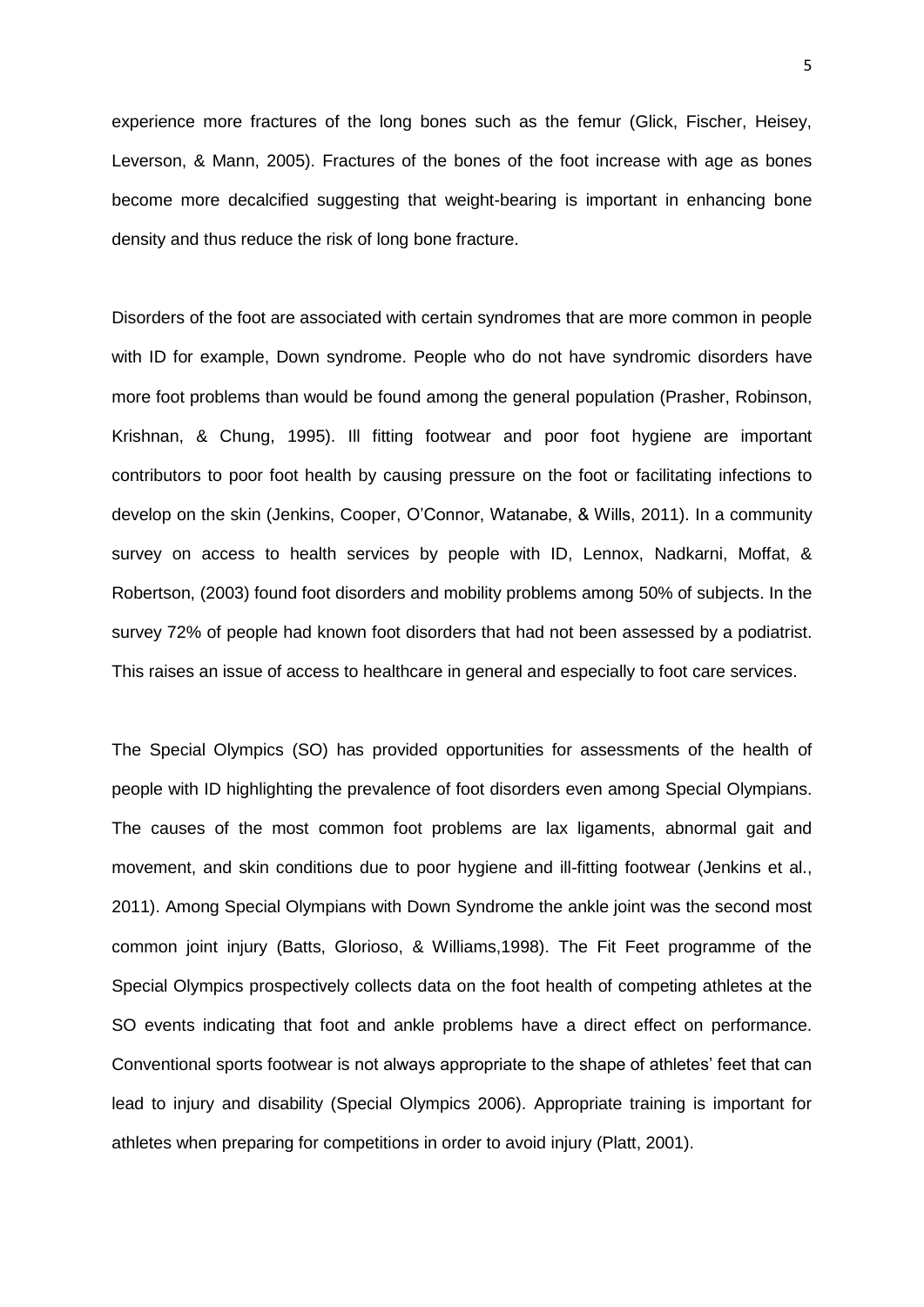experience more fractures of the long bones such as the femur (Glick, Fischer, Heisey, Leverson, & Mann, 2005). Fractures of the bones of the foot increase with age as bones become more decalcified suggesting that weight-bearing is important in enhancing bone density and thus reduce the risk of long bone fracture.

Disorders of the foot are associated with certain syndromes that are more common in people with ID for example, Down syndrome. People who do not have syndromic disorders have more foot problems than would be found among the general population (Prasher, Robinson, Krishnan, & Chung, 1995). Ill fitting footwear and poor foot hygiene are important contributors to poor foot health by causing pressure on the foot or facilitating infections to develop on the skin (Jenkins, Cooper, O'Connor, Watanabe, & Wills, 2011). In a community survey on access to health services by people with ID, Lennox, Nadkarni, Moffat, & Robertson, (2003) found foot disorders and mobility problems among 50% of subjects. In the survey 72% of people had known foot disorders that had not been assessed by a podiatrist. This raises an issue of access to healthcare in general and especially to foot care services.

The Special Olympics (SO) has provided opportunities for assessments of the health of people with ID highlighting the prevalence of foot disorders even among Special Olympians. The causes of the most common foot problems are lax ligaments, abnormal gait and movement, and skin conditions due to poor hygiene and ill-fitting footwear (Jenkins et al., 2011). Among Special Olympians with Down Syndrome the ankle joint was the second most common joint injury (Batts, Glorioso, & Williams,1998). The Fit Feet programme of the Special Olympics prospectively collects data on the foot health of competing athletes at the SO events indicating that foot and ankle problems have a direct effect on performance. Conventional sports footwear is not always appropriate to the shape of athletes' feet that can lead to injury and disability (Special Olympics 2006). Appropriate training is important for athletes when preparing for competitions in order to avoid injury (Platt, 2001).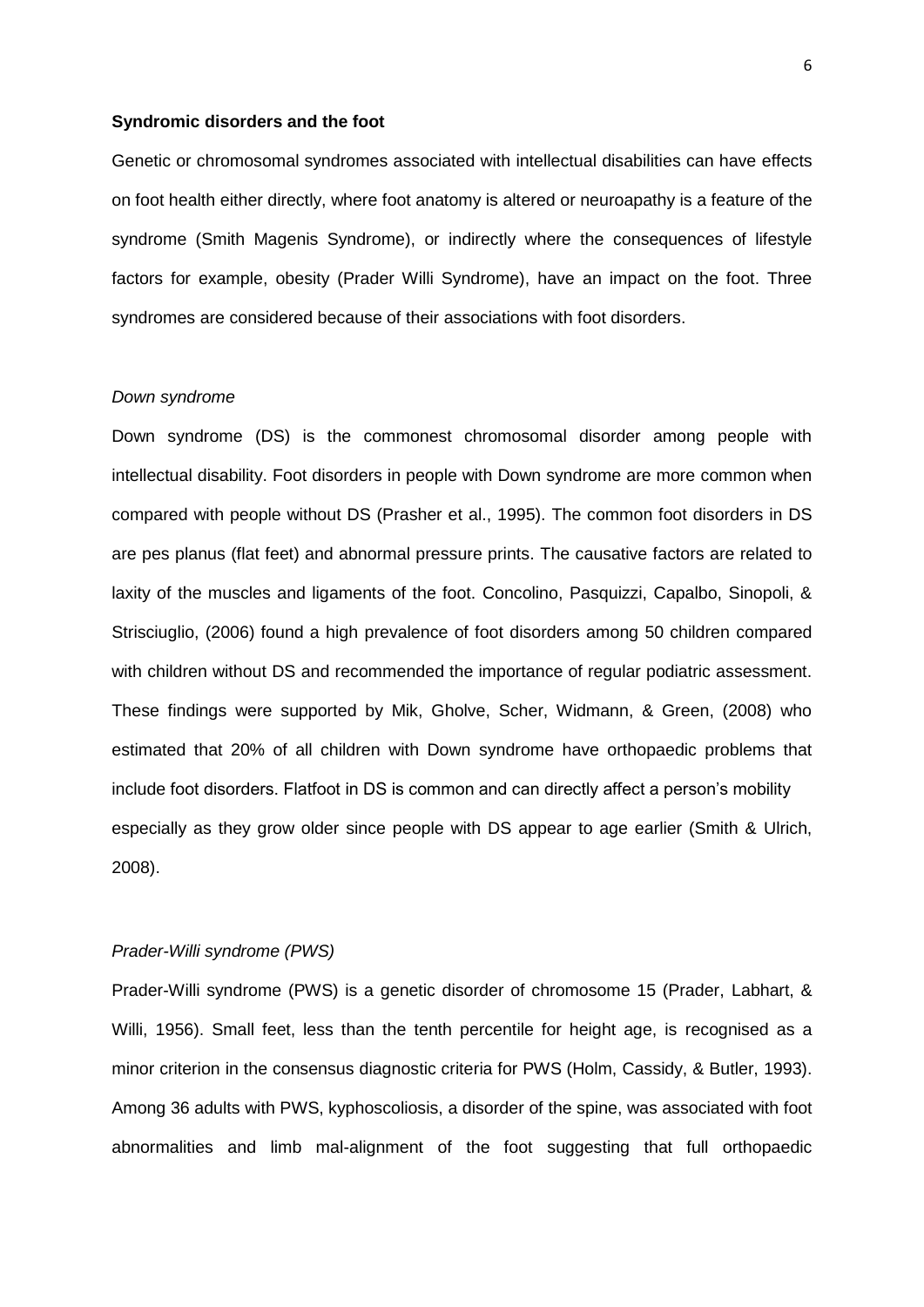#### **Syndromic disorders and the foot**

Genetic or chromosomal syndromes associated with intellectual disabilities can have effects on foot health either directly, where foot anatomy is altered or neuroapathy is a feature of the syndrome (Smith Magenis Syndrome), or indirectly where the consequences of lifestyle factors for example, obesity (Prader Willi Syndrome), have an impact on the foot. Three syndromes are considered because of their associations with foot disorders.

### *Down syndrome*

Down syndrome (DS) is the commonest chromosomal disorder among people with intellectual disability. Foot disorders in people with Down syndrome are more common when compared with people without DS (Prasher et al., 1995). The common foot disorders in DS are pes planus (flat feet) and abnormal pressure prints. The causative factors are related to laxity of the muscles and ligaments of the foot. Concolino, Pasquizzi, Capalbo, Sinopoli, & Strisciuglio, (2006) found a high prevalence of foot disorders among 50 children compared with children without DS and recommended the importance of regular podiatric assessment. These findings were supported by Mik, Gholve, Scher, Widmann, & Green, (2008) who estimated that 20% of all children with Down syndrome have orthopaedic problems that include foot disorders. Flatfoot in DS is common and can directly affect a person's mobility especially as they grow older since people with DS appear to age earlier (Smith & Ulrich, 2008).

## *Prader-Willi syndrome (PWS)*

Prader-Willi syndrome (PWS) is a genetic disorder of chromosome 15 (Prader, Labhart, & Willi, 1956). Small feet, less than the tenth percentile for height age, is recognised as a minor criterion in the consensus diagnostic criteria for PWS (Holm, Cassidy, & Butler, 1993). Among 36 adults with PWS, kyphoscoliosis, a disorder of the spine, was associated with foot abnormalities and limb mal-alignment of the foot suggesting that full orthopaedic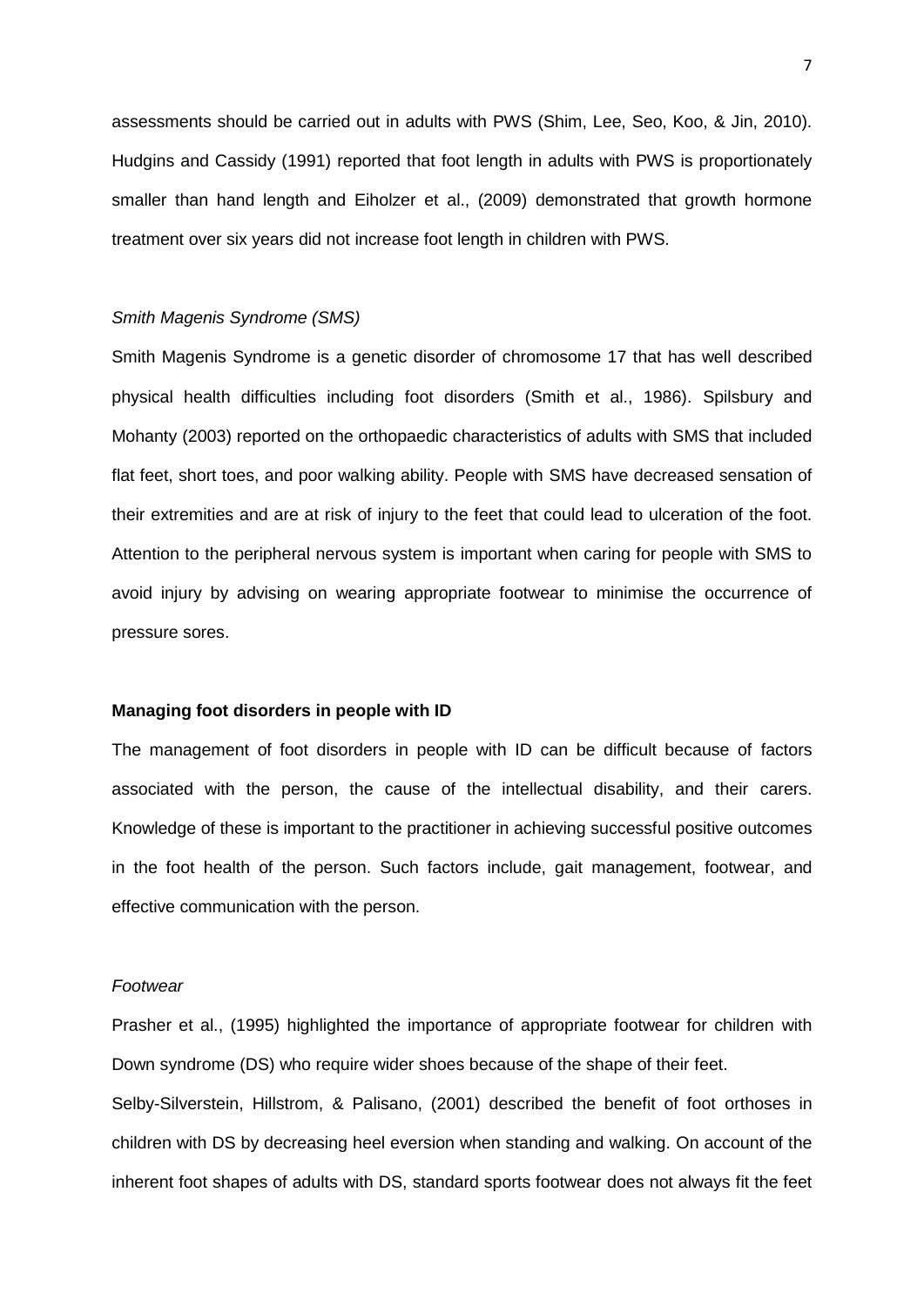assessments should be carried out in adults with PWS (Shim, Lee, Seo, Koo, & Jin, 2010). Hudgins and Cassidy (1991) reported that foot length in adults with PWS is proportionately smaller than hand length and Eiholzer et al., (2009) demonstrated that growth hormone treatment over six years did not increase foot length in children with PWS.

## *Smith Magenis Syndrome (SMS)*

Smith Magenis Syndrome is a genetic disorder of chromosome 17 that has well described physical health difficulties including foot disorders (Smith et al., 1986). Spilsbury and Mohanty (2003) reported on the orthopaedic characteristics of adults with SMS that included flat feet, short toes, and poor walking ability. People with SMS have decreased sensation of their extremities and are at risk of injury to the feet that could lead to ulceration of the foot. Attention to the peripheral nervous system is important when caring for people with SMS to avoid injury by advising on wearing appropriate footwear to minimise the occurrence of pressure sores.

# **Managing foot disorders in people with ID**

The management of foot disorders in people with ID can be difficult because of factors associated with the person, the cause of the intellectual disability, and their carers. Knowledge of these is important to the practitioner in achieving successful positive outcomes in the foot health of the person. Such factors include, gait management, footwear, and effective communication with the person.

## *Footwear*

Prasher et al., (1995) highlighted the importance of appropriate footwear for children with Down syndrome (DS) who require wider shoes because of the shape of their feet.

Selby-Silverstein, Hillstrom, & Palisano, (2001) described the benefit of foot orthoses in children with DS by decreasing heel eversion when standing and walking. On account of the inherent foot shapes of adults with DS, standard sports footwear does not always fit the feet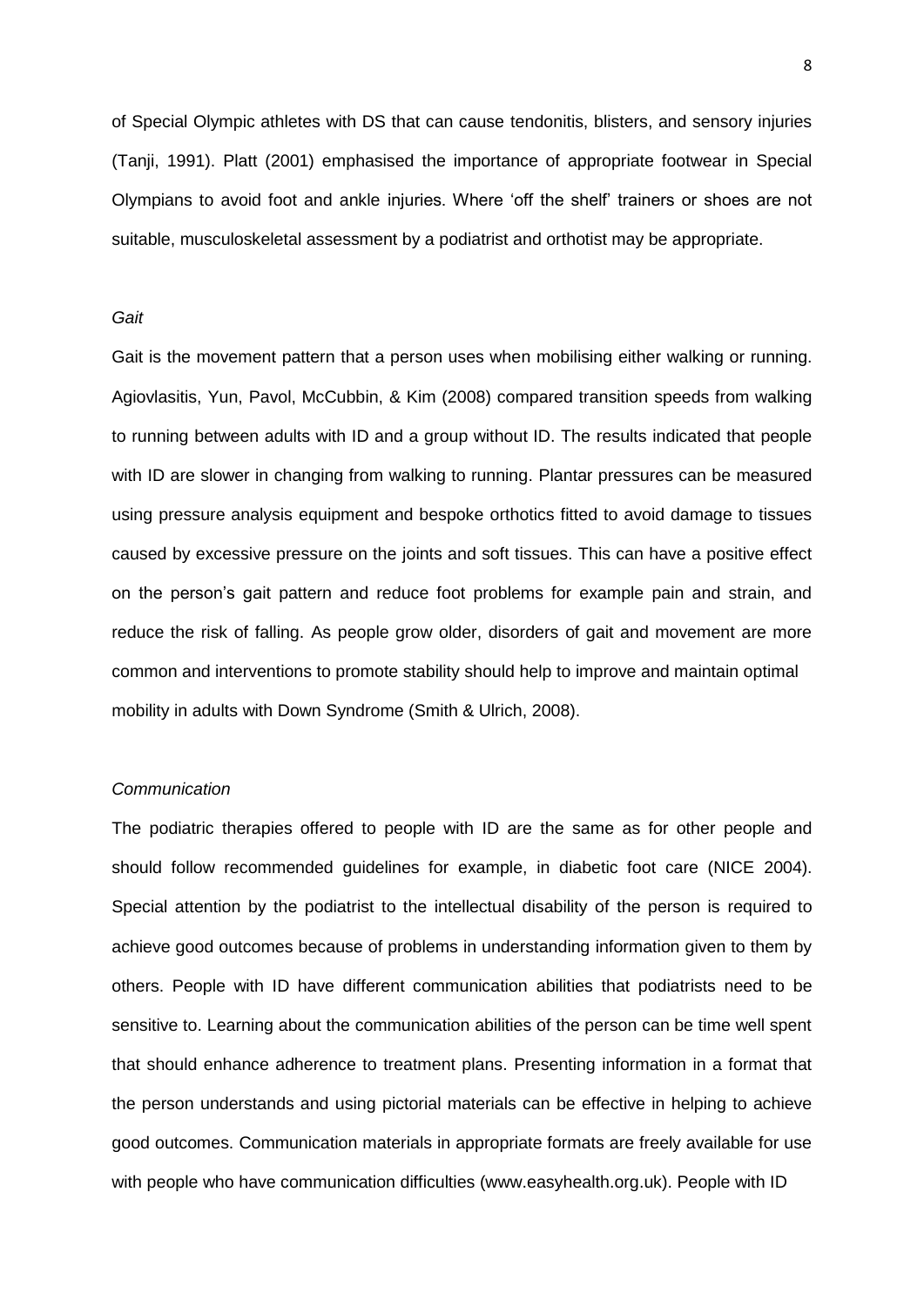of Special Olympic athletes with DS that can cause tendonitis, blisters, and sensory injuries (Tanji, 1991). Platt (2001) emphasised the importance of appropriate footwear in Special Olympians to avoid foot and ankle injuries. Where 'off the shelf' trainers or shoes are not suitable, musculoskeletal assessment by a podiatrist and orthotist may be appropriate.

# *Gait*

Gait is the movement pattern that a person uses when mobilising either walking or running. Agiovlasitis, Yun, Pavol, McCubbin, & Kim (2008) compared transition speeds from walking to running between adults with ID and a group without ID. The results indicated that people with ID are slower in changing from walking to running. Plantar pressures can be measured using pressure analysis equipment and bespoke orthotics fitted to avoid damage to tissues caused by excessive pressure on the joints and soft tissues. This can have a positive effect on the person's gait pattern and reduce foot problems for example pain and strain, and reduce the risk of falling. As people grow older, disorders of gait and movement are more common and interventions to promote stability should help to improve and maintain optimal mobility in adults with Down Syndrome (Smith & Ulrich, 2008).

# *Communication*

The podiatric therapies offered to people with ID are the same as for other people and should follow recommended guidelines for example, in diabetic foot care (NICE 2004). Special attention by the podiatrist to the intellectual disability of the person is required to achieve good outcomes because of problems in understanding information given to them by others. People with ID have different communication abilities that podiatrists need to be sensitive to. Learning about the communication abilities of the person can be time well spent that should enhance adherence to treatment plans. Presenting information in a format that the person understands and using pictorial materials can be effective in helping to achieve good outcomes. Communication materials in appropriate formats are freely available for use with people who have communication difficulties (www.easyhealth.org.uk). People with ID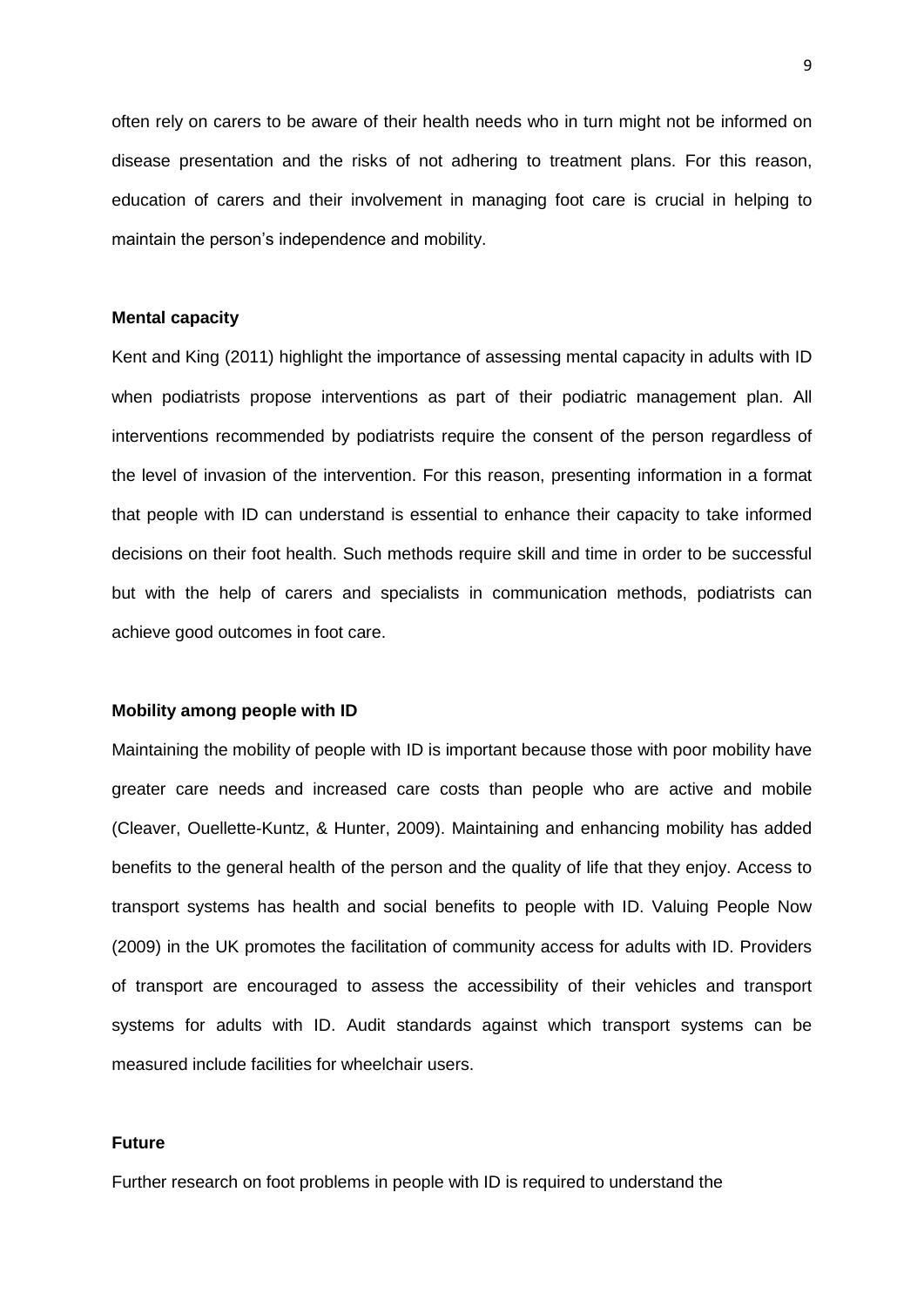often rely on carers to be aware of their health needs who in turn might not be informed on disease presentation and the risks of not adhering to treatment plans. For this reason, education of carers and their involvement in managing foot care is crucial in helping to maintain the person's independence and mobility.

#### **Mental capacity**

Kent and King (2011) highlight the importance of assessing mental capacity in adults with ID when podiatrists propose interventions as part of their podiatric management plan. All interventions recommended by podiatrists require the consent of the person regardless of the level of invasion of the intervention. For this reason, presenting information in a format that people with ID can understand is essential to enhance their capacity to take informed decisions on their foot health. Such methods require skill and time in order to be successful but with the help of carers and specialists in communication methods, podiatrists can achieve good outcomes in foot care.

#### **Mobility among people with ID**

Maintaining the mobility of people with ID is important because those with poor mobility have greater care needs and increased care costs than people who are active and mobile (Cleaver, Ouellette-Kuntz, & Hunter, 2009). Maintaining and enhancing mobility has added benefits to the general health of the person and the quality of life that they enjoy. Access to transport systems has health and social benefits to people with ID. Valuing People Now (2009) in the UK promotes the facilitation of community access for adults with ID. Providers of transport are encouraged to assess the accessibility of their vehicles and transport systems for adults with ID. Audit standards against which transport systems can be measured include facilities for wheelchair users.

## **Future**

Further research on foot problems in people with ID is required to understand the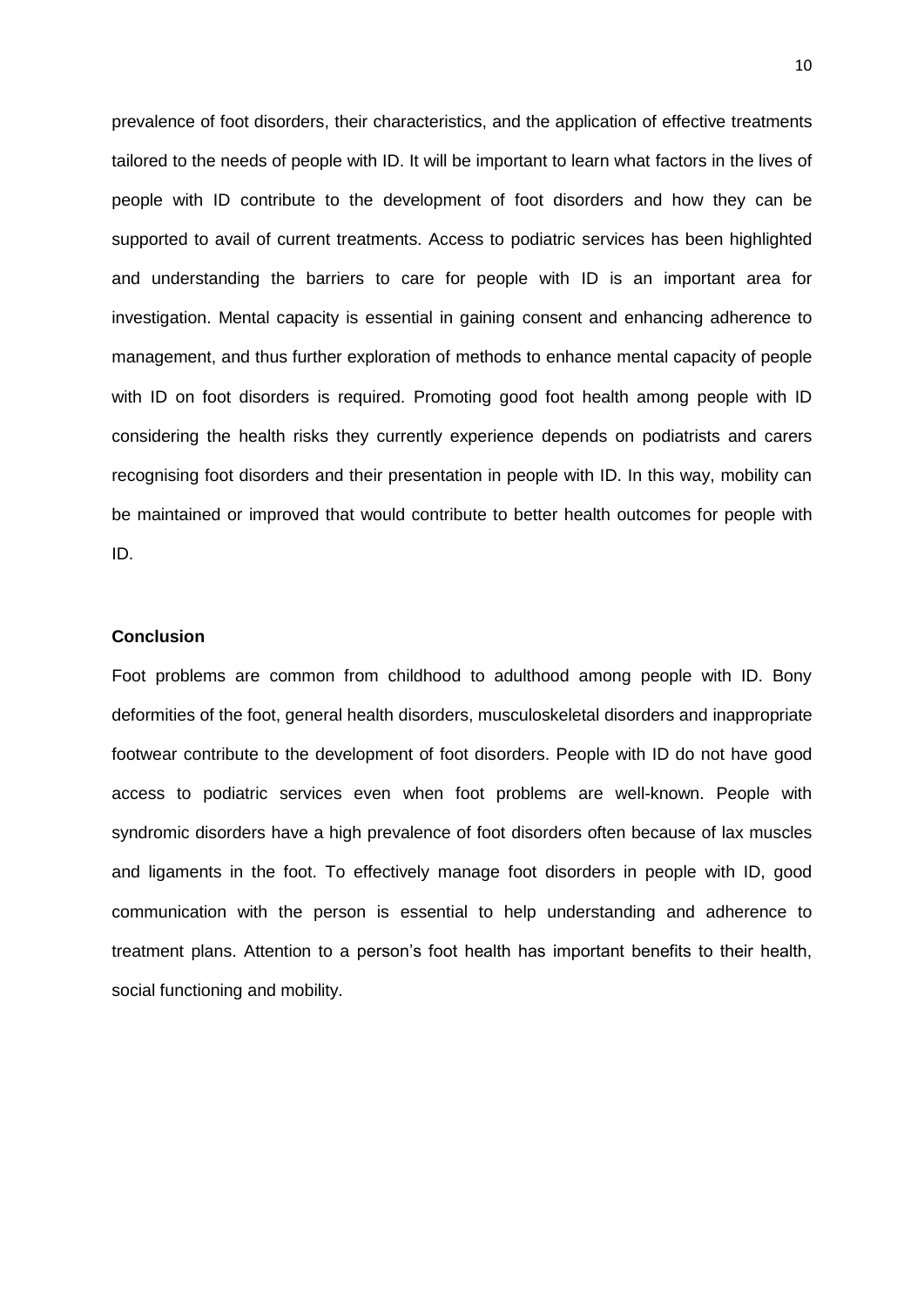prevalence of foot disorders, their characteristics, and the application of effective treatments tailored to the needs of people with ID. It will be important to learn what factors in the lives of people with ID contribute to the development of foot disorders and how they can be supported to avail of current treatments. Access to podiatric services has been highlighted and understanding the barriers to care for people with ID is an important area for investigation. Mental capacity is essential in gaining consent and enhancing adherence to management, and thus further exploration of methods to enhance mental capacity of people with ID on foot disorders is required. Promoting good foot health among people with ID considering the health risks they currently experience depends on podiatrists and carers recognising foot disorders and their presentation in people with ID. In this way, mobility can be maintained or improved that would contribute to better health outcomes for people with ID.

# **Conclusion**

Foot problems are common from childhood to adulthood among people with ID. Bony deformities of the foot, general health disorders, musculoskeletal disorders and inappropriate footwear contribute to the development of foot disorders. People with ID do not have good access to podiatric services even when foot problems are well-known. People with syndromic disorders have a high prevalence of foot disorders often because of lax muscles and ligaments in the foot. To effectively manage foot disorders in people with ID, good communication with the person is essential to help understanding and adherence to treatment plans. Attention to a person's foot health has important benefits to their health, social functioning and mobility.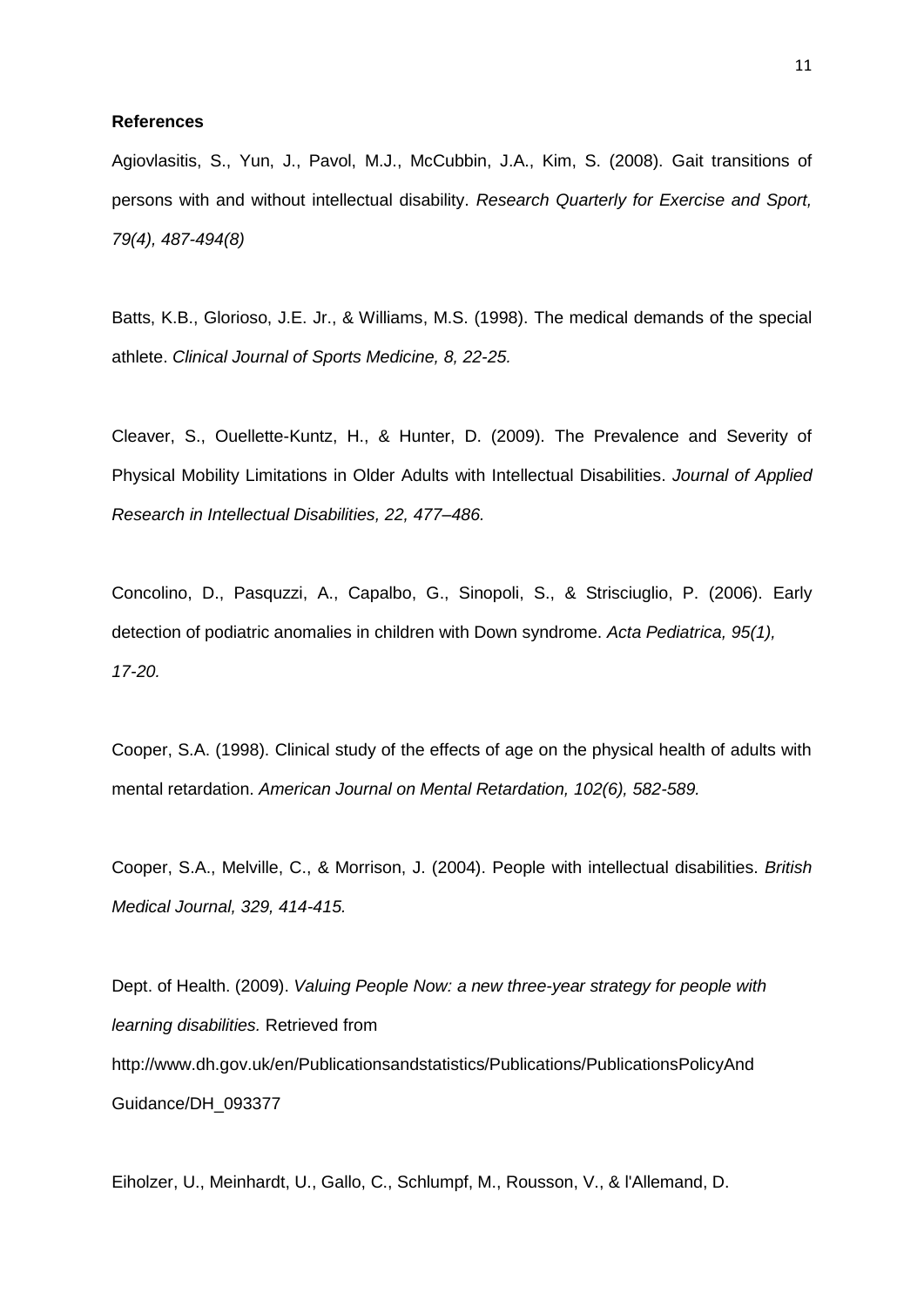#### **References**

Agiovlasitis, S., Yun, J., Pavol, M.J., McCubbin, J.A., Kim, S. (2008). Gait transitions of persons with and without intellectual disability. *Research Quarterly for Exercise and Sport, 79(4), 487-494(8)*

Batts, K.B., Glorioso, J.E. Jr., & Williams, M.S. (1998). The medical demands of the special athlete. *Clinical Journal of Sports Medicine, 8, 22-25.*

Cleaver, S., Ouellette-Kuntz, H., & Hunter, D. (2009). The Prevalence and Severity of Physical Mobility Limitations in Older Adults with Intellectual Disabilities. *Journal of Applied Research in Intellectual Disabilities, 22, 477–486.*

Concolino, D., Pasquzzi, A., Capalbo, G., Sinopoli, S., & Strisciuglio, P. (2006). Early detection of podiatric anomalies in children with Down syndrome. *Acta Pediatrica, 95(1), 17-20.*

Cooper, S.A. (1998). Clinical study of the effects of age on the physical health of adults with mental retardation. *American Journal on Mental Retardation, 102(6), 582-589.*

Cooper, S.A., Melville, C., & Morrison, J. (2004). People with intellectual disabilities. *British Medical Journal, 329, 414-415.*

Dept. of Health. (2009). *Valuing People Now: a new three-year strategy for people with learning disabilities.* Retrieved from http://www.dh.gov.uk/en/Publicationsandstatistics/Publications/PublicationsPolicyAnd Guidance/DH\_093377

Eiholzer, U., Meinhardt, U., Gallo, C., Schlumpf, M., Rousson, V., & l'Allemand, D.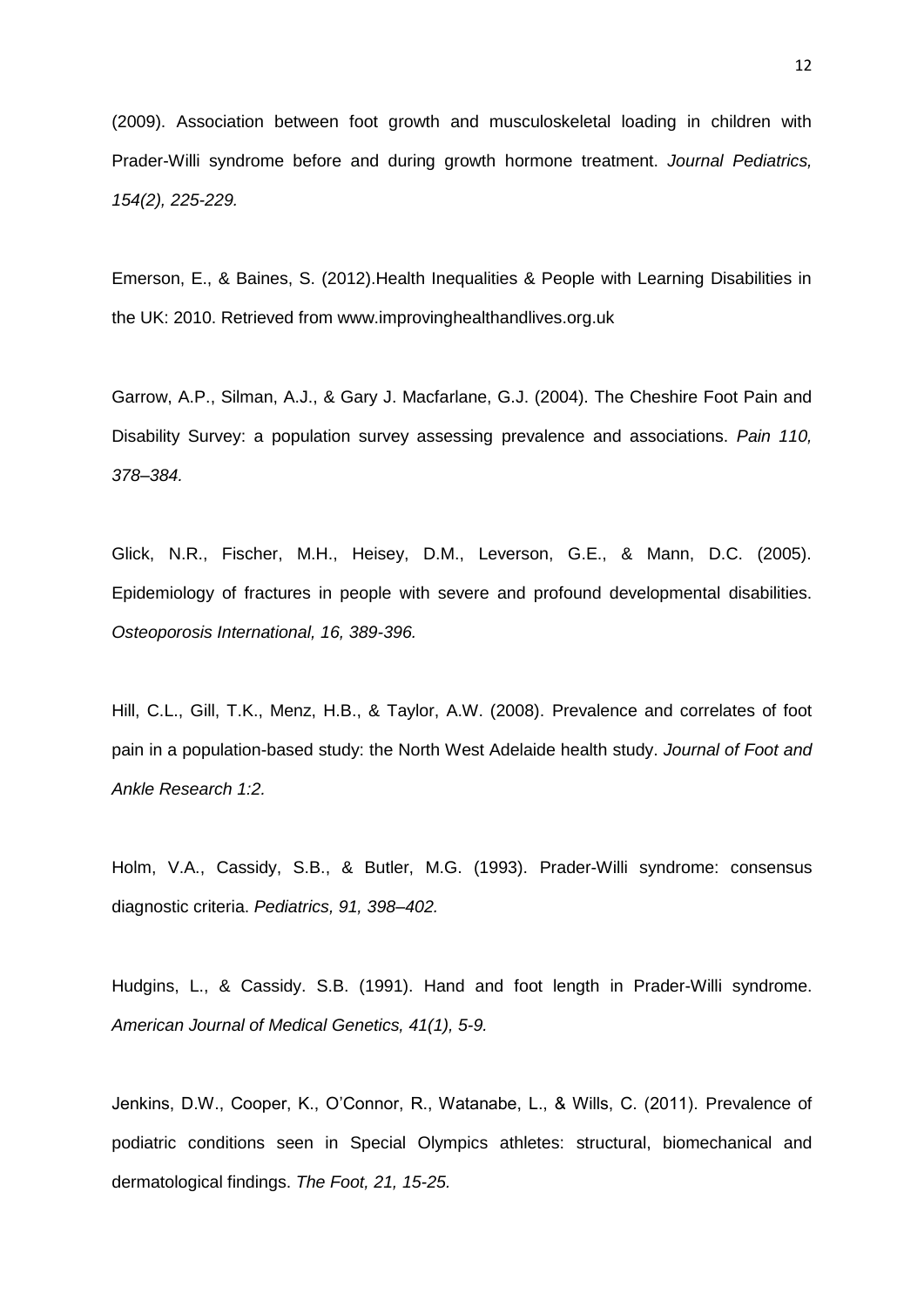(2009). Association between foot growth and musculoskeletal loading in children with Prader-Willi syndrome before and during growth hormone treatment. *Journal Pediatrics, 154(2), 225-229.*

Emerson, E., & Baines, S. (2012).Health Inequalities & People with Learning Disabilities in the UK: 2010. Retrieved from www.improvinghealthandlives.org.uk

Garrow, A.P., Silman, A.J., & Gary J. Macfarlane, G.J. (2004). The Cheshire Foot Pain and Disability Survey: a population survey assessing prevalence and associations. *Pain 110, 378–384.*

Glick, N.R., Fischer, M.H., Heisey, D.M., Leverson, G.E., & Mann, D.C. (2005). Epidemiology of fractures in people with severe and profound developmental disabilities. *Osteoporosis International, 16, 389-396.*

Hill, C.L., Gill, T.K., Menz, H.B., & Taylor, A.W. (2008). Prevalence and correlates of foot pain in a population-based study: the North West Adelaide health study. *Journal of Foot and Ankle Research 1:2.*

Holm, V.A., Cassidy, S.B., & Butler, M.G. (1993). Prader-Willi syndrome: consensus diagnostic criteria. *Pediatrics, 91, 398–402.*

Hudgins, L., & Cassidy. S.B. (1991). Hand and foot length in Prader-Willi syndrome. *American Journal of Medical Genetics, 41(1), 5-9.*

Jenkins, D.W., Cooper, K., O'Connor, R., Watanabe, L., & Wills, C. (2011). Prevalence of podiatric conditions seen in Special Olympics athletes: structural, biomechanical and dermatological findings. *The Foot, 21, 15-25.*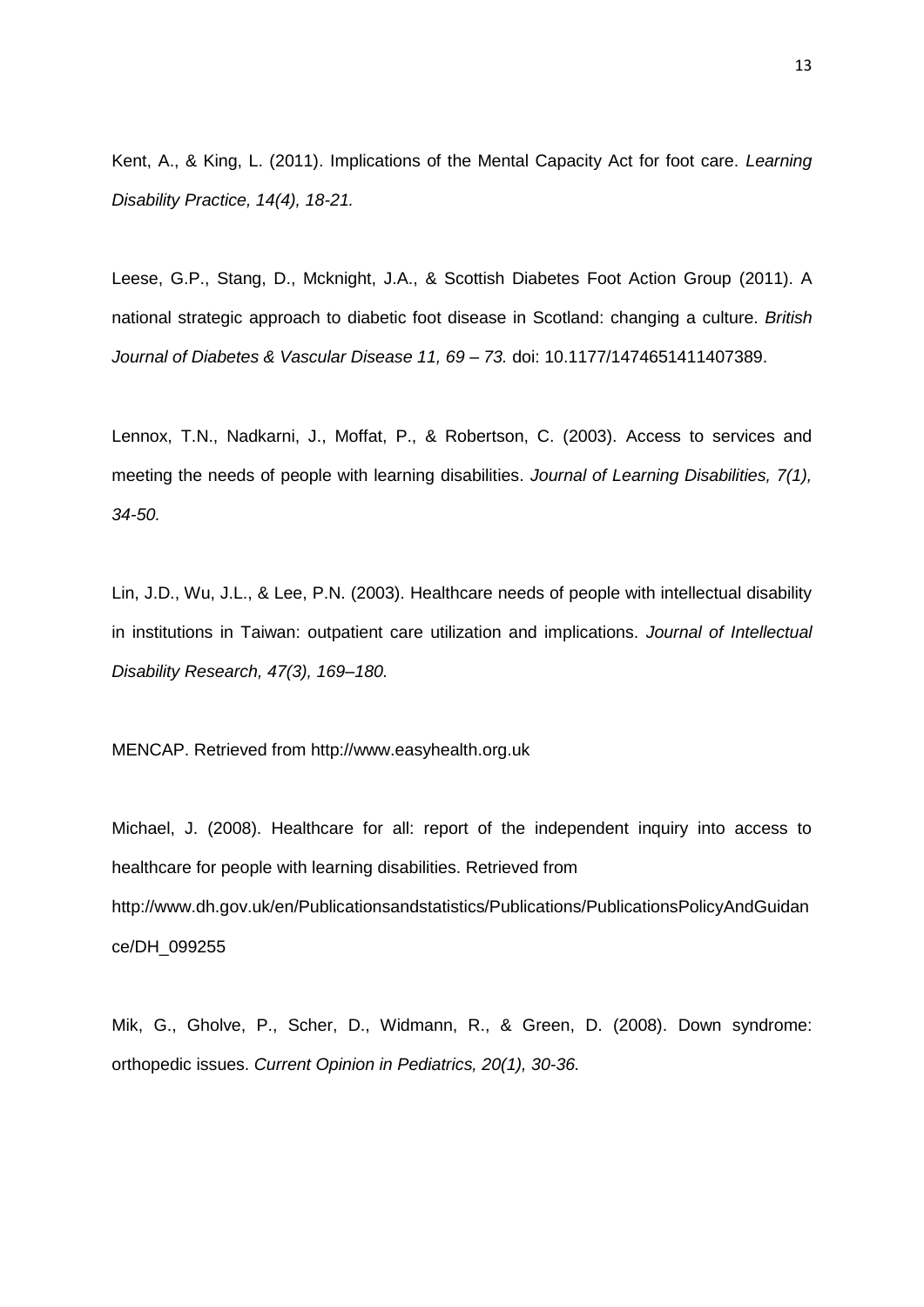Kent, A., & King, L. (2011). Implications of the Mental Capacity Act for foot care. *Learning Disability Practice, 14(4), 18-21.*

Leese, G.P., Stang, D., Mcknight, J.A., & Scottish Diabetes Foot Action Group (2011). A national strategic approach to diabetic foot disease in Scotland: changing a culture. *British Journal of Diabetes & Vascular Disease 11, 69 – 73.* doi: 10.1177/1474651411407389.

Lennox, T.N., Nadkarni, J., Moffat, P., & Robertson, C. (2003). Access to services and meeting the needs of people with learning disabilities. *Journal of Learning Disabilities, 7(1), 34-50.*

Lin, J.D., Wu, J.L., & Lee, P.N. (2003). Healthcare needs of people with intellectual disability in institutions in Taiwan: outpatient care utilization and implications. *Journal of Intellectual Disability Research, 47(3), 169–180.*

MENCAP. Retrieved from http://www.easyhealth.org.uk

Michael, J. (2008). Healthcare for all: report of the independent inquiry into access to healthcare for people with learning disabilities. Retrieved from http://www.dh.gov.uk/en/Publicationsandstatistics/Publications/PublicationsPolicyAndGuidan ce/DH\_099255

Mik, G., Gholve, P., Scher, D., Widmann, R., & Green, D. (2008). Down syndrome: orthopedic issues. *Current Opinion in Pediatrics, 20(1), 30-36.*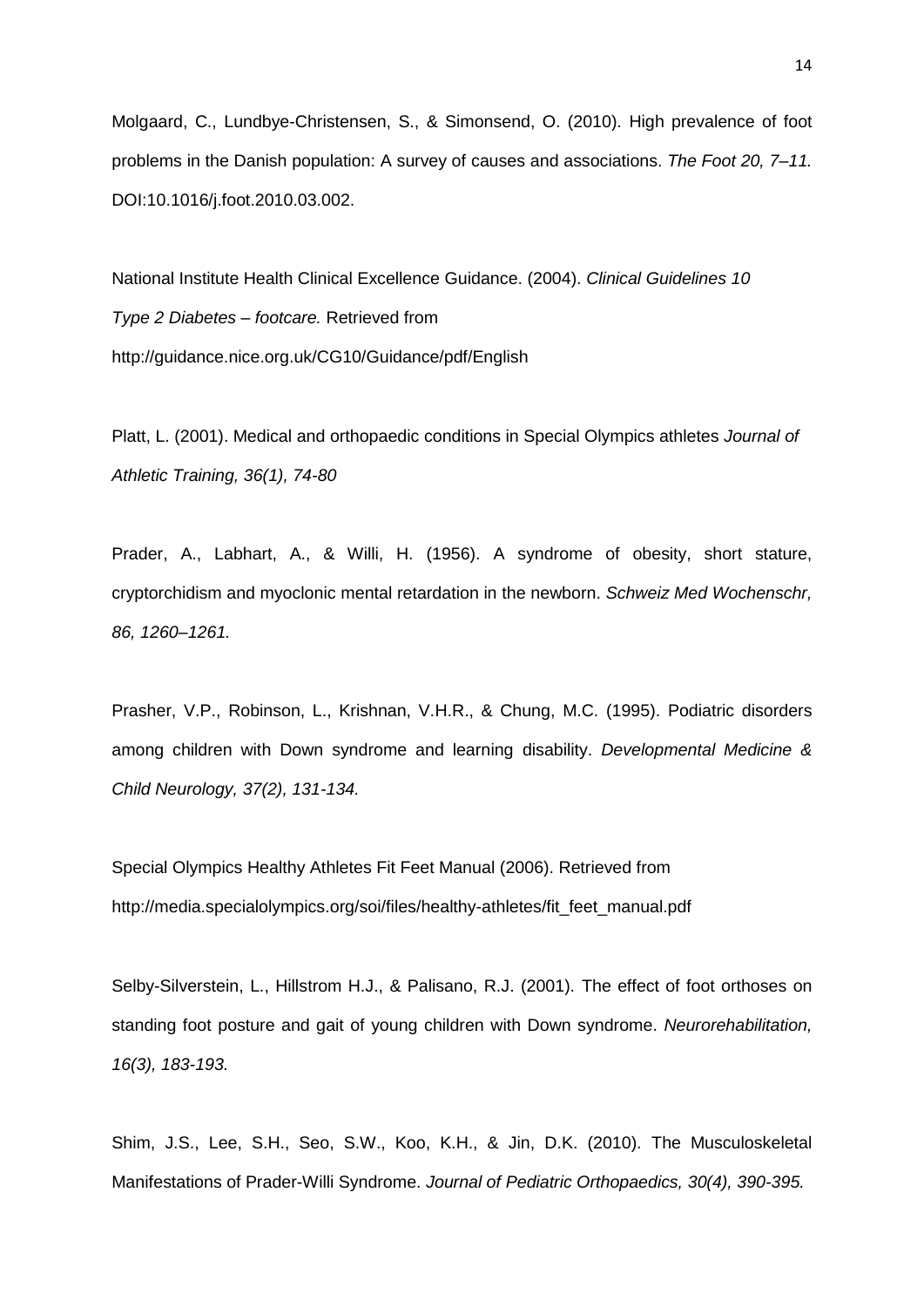Molgaard, C., Lundbye-Christensen, S., & Simonsend, O. (2010). High prevalence of foot problems in the Danish population: A survey of causes and associations. *The Foot 20, 7–11.*  DOI:10.1016/j.foot.2010.03.002.

National Institute Health Clinical Excellence Guidance. (2004). *Clinical Guidelines 10 Type 2 Diabetes – footcare.* Retrieved from http://guidance.nice.org.uk/CG10/Guidance/pdf/English

Platt, L. (2001). Medical and orthopaedic conditions in Special Olympics athletes *Journal of Athletic Training, 36(1), 74-80*

Prader, A., Labhart, A., & Willi, H. (1956). A syndrome of obesity, short stature, cryptorchidism and myoclonic mental retardation in the newborn. *Schweiz Med Wochenschr, 86, 1260–1261.*

Prasher, V.P., Robinson, L., Krishnan, V.H.R., & Chung, M.C. (1995). Podiatric disorders among children with Down syndrome and learning disability. *Developmental Medicine & Child Neurology, 37(2), 131-134.*

Special Olympics Healthy Athletes Fit Feet Manual (2006). Retrieved from http://media.specialolympics.org/soi/files/healthy-athletes/fit\_feet\_manual.pdf

Selby-Silverstein, L., Hillstrom H.J., & Palisano, R.J. (2001). The effect of foot orthoses on standing foot posture and gait of young children with Down syndrome. *Neurorehabilitation, 16(3), 183-193.*

Shim, J.S., Lee, S.H., Seo, S.W., Koo, K.H., & Jin, D.K. (2010). The Musculoskeletal Manifestations of Prader-Willi Syndrome. *Journal of Pediatric Orthopaedics, 30(4), 390-395.*